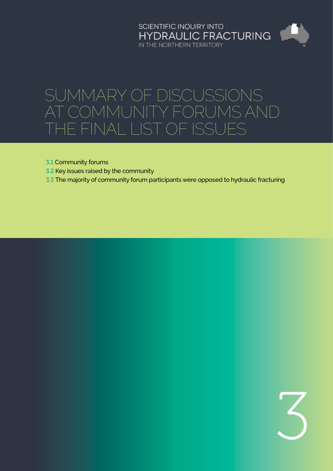# SCIENTIFIC INQUIRY INTO<br>HYDRAULIC FRACTURING IN THE NORTHERN TERRITORY

# Summary of discussions at community forums and the final list of issues

- 3.1 [Community forums](#page-1-0)
- 3.2 [Key issues raised by the community](#page-1-0)
- 3.3 [The majority of community forum participants were opposed to hydraulic fracturing](#page-7-0)

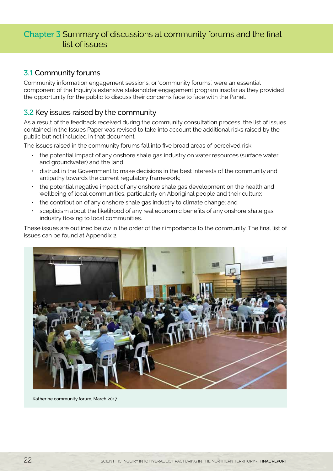# <span id="page-1-0"></span>Chapter 3 Summary of discussions at community forums and the final list of issues

### 3.1 Community forums

Community information engagement sessions, or 'community forums', were an essential component of the Inquiry's extensive stakeholder engagement program insofar as they provided the opportunity for the public to discuss their concerns face to face with the Panel.

## 3.2 Key issues raised by the community

As a result of the feedback received during the community consultation process, the list of issues contained in the Issues Paper was revised to take into account the additional risks raised by the public but not included in that document.

The issues raised in the community forums fall into five broad areas of perceived risk:

- the potential impact of any onshore shale gas industry on water resources (surface water and groundwater) and the land;
- distrust in the Government to make decisions in the best interests of the community and antipathy towards the current regulatory framework;
- the potential negative impact of any onshore shale gas development on the health and wellbeing of local communities, particularly on Aboriginal people and their culture;
- the contribution of any onshore shale gas industry to climate change; and
- scepticism about the likelihood of any real economic benefits of any onshore shale gas industry flowing to local communities.

These issues are outlined below in the order of their importance to the community. The final list of issues can be found at Appendix 2.



Katherine community forum, March 2017.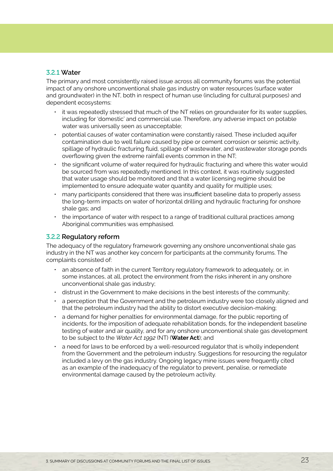#### 3.2.1 **Water**

The primary and most consistently raised issue across all community forums was the potential impact of any onshore unconventional shale gas industry on water resources (surface water and groundwater) in the NT, both in respect of human use (including for cultural purposes) and dependent ecosystems:

- it was repeatedly stressed that much of the NT relies on groundwater for its water supplies, including for 'domestic' and commercial use. Therefore, any adverse impact on potable water was universally seen as unacceptable;
- potential causes of water contamination were constantly raised. These included aquifer contamination due to well failure caused by pipe or cement corrosion or seismic activity, spillage of hydraulic fracturing fluid, spillage of wastewater, and wastewater storage ponds overflowing given the extreme rainfall events common in the NT;
- the significant volume of water required for hydraulic fracturing and where this water would be sourced from was repeatedly mentioned. In this context, it was routinely suggested that water usage should be monitored and that a water licensing regime should be implemented to ensure adequate water quantity and quality for multiple uses;
- many participants considered that there was insufficient baseline data to properly assess the long-term impacts on water of horizontal drilling and hydraulic fracturing for onshore shale gas; and
- the importance of water with respect to a range of traditional cultural practices among Aboriginal communities was emphasised.

#### 3.2.2 **Regulatory reform**

The adequacy of the regulatory framework governing any onshore unconventional shale gas industry in the NT was another key concern for participants at the community forums. The complaints consisted of:

- an absence of faith in the current Territory regulatory framework to adequately, or, in some instances, at all, protect the environment from the risks inherent in any onshore unconventional shale gas industry;
- distrust in the Government to make decisions in the best interests of the community;
- a perception that the Government and the petroleum industry were too closely aligned and that the petroleum industry had the ability to distort executive decision-making;
- a demand for higher penalties for environmental damage, for the public reporting of incidents, for the imposition of adequate rehabilitation bonds, for the independent baseline testing of water and air quality, and for any onshore unconventional shale gas development to be subject to the *Water Act 1992* (NT) (**Water Act**); and
- a need for laws to be enforced by a well-resourced regulator that is wholly independent from the Government and the petroleum industry. Suggestions for resourcing the regulator included a levy on the gas industry. Ongoing legacy mine issues were frequently cited as an example of the inadequacy of the regulator to prevent, penalise, or remediate environmental damage caused by the petroleum activity.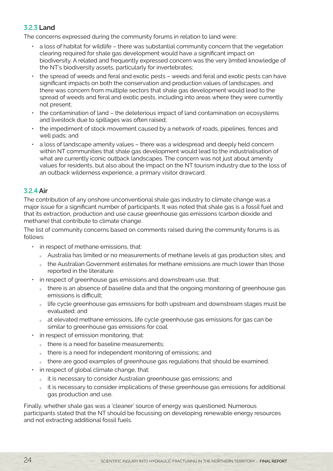#### 3.2.3 **Land**

The concerns expressed during the community forums in relation to land were:

- a loss of habitat for wildlife there was substantial community concern that the vegetation clearing required for shale gas development would have a significant impact on biodiversity. A related and frequently expressed concern was the very limited knowledge of the NT's biodiversity assets, particularly for invertebrates;
- the spread of weeds and feral and exotic pests weeds and feral and exotic pests can have significant impacts on both the conservation and production values of landscapes, and there was concern from multiple sectors that shale gas development would lead to the spread of weeds and feral and exotic pests, including into areas where they were currently not present;
- the contamination of land the deleterious impact of land contamination on ecosystems and livestock due to spillages was often raised;
- the impediment of stock movement caused by a network of roads, pipelines, fences and well pads; and
- a loss of landscape amenity values there was a widespread and deeply held concern within NT communities that shale gas development would lead to the industrialisation of what are currently iconic outback landscapes. The concern was not just about amenity values for residents, but also about the impact on the NT tourism industry due to the loss of an outback wilderness experience, a primary visitor drawcard.

#### 3.2.4 **Air**

The contribution of any onshore unconventional shale gas industry to climate change was a major issue for a significant number of participants. It was noted that shale gas is a fossil fuel and that its extraction, production and use cause greenhouse gas emissions (carbon dioxide and methane) that contribute to climate change.

The list of community concerns based on comments raised during the community forums is as follows:

- in respect of methane emissions, that:
	- <sup>Ȉ</sup> Australia has limited or no measurements of methane levels at gas production sites; and
	- <sup>Ȉ</sup> the Australian Government estimates for methane emissions are much lower than those reported in the literature.
- in respect of greenhouse gas emissions and downstream use, that:
	- outhere is an absence of baseline data and that the ongoing monitoring of greenhouse gas emissions is difficult;
	- <sup>Ȉ</sup> life cycle greenhouse gas emissions for both upstream and downstream stages must be evaluated; and
	- o at elevated methane emissions, life cycle greenhouse gas emissions for gas can be similar to greenhouse gas emissions for coal.
- in respect of emission monitoring, that:
	- our there is a need for baseline measurements;
	- o there is a need for independent monitoring of emissions; and
	- o there are good examples of greenhouse gas regulations that should be examined.
- in respect of global climate change, that:
	- <sup>Ȉ</sup> it is necessary to consider Australian greenhouse gas emissions; and
	- it is necessary to consider implications of these greenhouse gas emissions for additional gas production and use.

Finally, whether shale gas was a 'cleaner' source of energy was questioned. Numerous participants stated that the NT should be focussing on developing renewable energy resources and not extracting additional fossil fuels.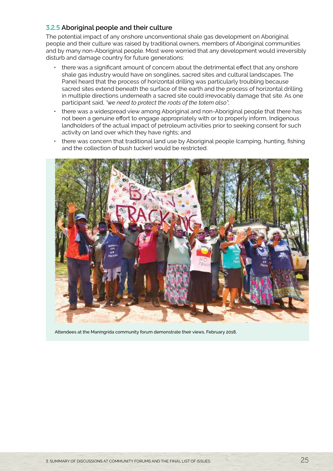#### 3.2.5 **Aboriginal people and their culture**

The potential impact of any onshore unconventional shale gas development on Aboriginal people and their culture was raised by traditional owners, members of Aboriginal communities and by many non-Aboriginal people. Most were worried that any development would irreversibly disturb and damage country for future generations:

- there was a significant amount of concern about the detrimental effect that any onshore shale gas industry would have on songlines, sacred sites and cultural landscapes. The Panel heard that the process of horizontal drilling was particularly troubling because sacred sites extend beneath the surface of the earth and the process of horizontal drilling in multiple directions underneath a sacred site could irrevocably damage that site. As one participant said, *"we need to protect the roots of the totem also"*;
- there was a widespread view among Aboriginal and non-Aboriginal people that there has not been a genuine effort to engage appropriately with or to properly inform, Indigenous landholders of the actual impact of petroleum activities prior to seeking consent for such activity on land over which they have rights; and
- there was concern that traditional land use by Aboriginal people (camping, hunting, fishing and the collection of bush tucker) would be restricted.



Attendees at the Maningrida community forum demonstrate their views, February 2018.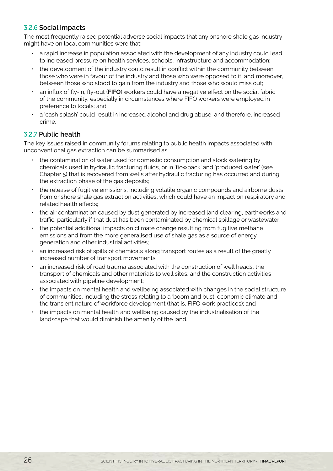#### 3.2.6 **Social impacts**

The most frequently raised potential adverse social impacts that any onshore shale gas industry might have on local communities were that:

- a rapid increase in population associated with the development of any industry could lead to increased pressure on health services, schools, infrastructure and accommodation;
- the development of the industry could result in conflict within the community between those who were in favour of the industry and those who were opposed to it, and moreover, between those who stood to gain from the industry and those who would miss out;
- an influx of fly-in, fly-out (**FIFO**) workers could have a negative effect on the social fabric of the community, especially in circumstances where FIFO workers were employed in preference to locals; and
- a 'cash splash' could result in increased alcohol and drug abuse, and therefore, increased crime.

#### 3.2.7 **Public health**

The key issues raised in community forums relating to public health impacts associated with unconventional gas extraction can be summarised as:

- the contamination of water used for domestic consumption and stock watering by chemicals used in hydraulic fracturing fluids, or in 'flowback' and 'produced water' (see Chapter 5) that is recovered from wells after hydraulic fracturing has occurred and during the extraction phase of the gas deposits;
- the release of fugitive emissions, including volatile organic compounds and airborne dusts from onshore shale gas extraction activities, which could have an impact on respiratory and related health effects;
- the air contamination caused by dust generated by increased land clearing, earthworks and traffic, particularly if that dust has been contaminated by chemical spillage or wastewater;
- the potential additional impacts on climate change resulting from fugitive methane emissions and from the more generalised use of shale gas as a source of energy generation and other industrial activities;
- an increased risk of spills of chemicals along transport routes as a result of the greatly increased number of transport movements;
- an increased risk of road trauma associated with the construction of well heads, the transport of chemicals and other materials to well sites, and the construction activities associated with pipeline development;
- the impacts on mental health and wellbeing associated with changes in the social structure of communities, including the stress relating to a 'boom and bust' economic climate and the transient nature of workforce development (that is, FIFO work practices); and
- the impacts on mental health and wellbeing caused by the industrialisation of the landscape that would diminish the amenity of the land.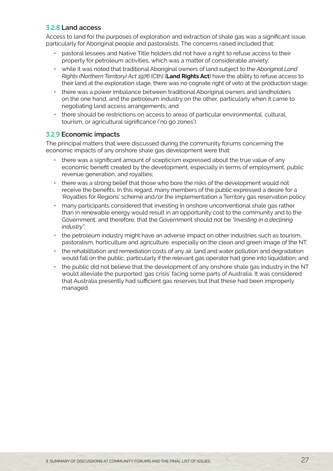#### 3.2.8 **Land access**

Access to land for the purposes of exploration and extraction of shale gas was a significant issue, particularly for Aboriginal people and pastoralists. The concerns raised included that:

- pastoral lessees and Native Title holders did not have a right to refuse access to their property for petroleum activities, which was a matter of considerable anxiety;
- while it was noted that traditional Aboriginal owners of land subject to the *Aboriginal Land Rights (Northern Territory) Act 1976* (Cth) (**Land Rights Act**) have the ability to refuse access to their land at the exploration stage, there was no cognate right of veto at the production stage;
- there was a power imbalance between traditional Aboriginal owners and landholders on the one hand, and the petroleum industry on the other, particularly when it came to negotiating land access arrangements; and
- there should be restrictions on access to areas of particular environmental, cultural, tourism, or agricultural significance ('no go zones').

#### 3.2.9 **Economic impacts**

The principal matters that were discussed during the community forums concerning the economic impacts of any onshore shale gas development were that:

- there was a significant amount of scepticism expressed about the true value of any economic benefit created by the development, especially in terms of employment, public revenue generation, and royalties;
- there was a strong belief that those who bore the risks of the development would not receive the benefits. In this regard, many members of the public expressed a desire for a 'Royalties for Regions' scheme and/or the implementation a Territory gas reservation policy;
- many participants considered that investing in onshore unconventional shale gas rather than in renewable energy would result in an opportunity cost to the community and to the Government, and therefore, that the Government should not be *"investing in a declining industry";*
- the petroleum industry might have an adverse impact on other industries such as tourism, pastoralism, horticulture and agriculture, especially on the clean and green image of the NT;
- the rehabilitation and remediation costs of any air, land and water pollution and degradation would fall on the public, particularly if the relevant gas operator had gone into liquidation; and
- the public did not believe that the development of any onshore shale gas industry in the NT would alleviate the purported 'gas crisis' facing some parts of Australia. It was considered that Australia presently had sufficient gas reserves but that these had been improperly managed.